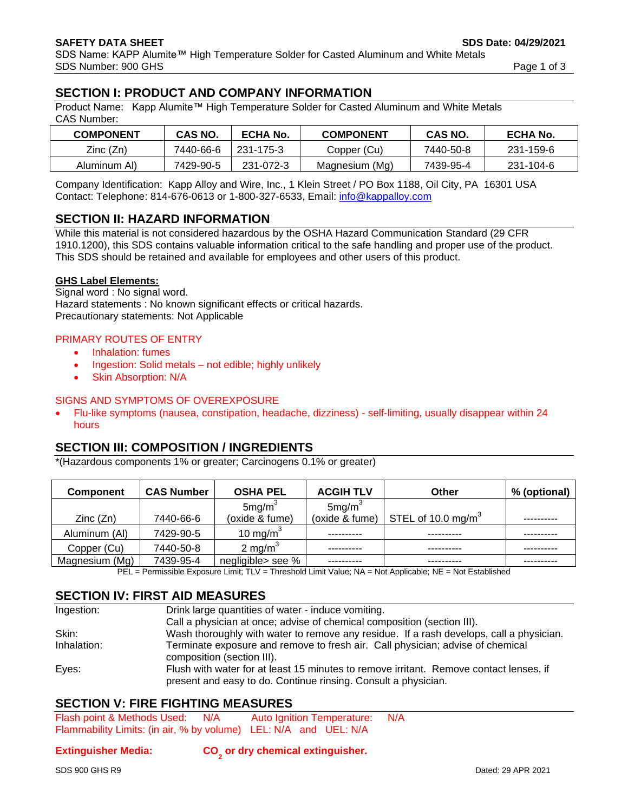# **SECTION I: PRODUCT AND COMPANY INFORMATION**

Product Name: Kapp Alumite™ High Temperature Solder for Casted Aluminum and White Metals CAS Number:

| <b>COMPONENT</b> | <b>CAS NO.</b> | <b>ECHA No.</b> | <b>COMPONENT</b> | <b>CAS NO.</b> | ECHA No.  |
|------------------|----------------|-----------------|------------------|----------------|-----------|
| Zinc (Zn)        | 7440-66-6      | 231-175-3       | Copper (Cu)      | 7440-50-8      | 231-159-6 |
| Aluminum Al)     | 7429-90-5      | 231-072-3       | Magnesium (Mg)   | 7439-95-4      | 231-104-6 |

Company Identification: Kapp Alloy and Wire, Inc., 1 Klein Street / PO Box 1188, Oil City, PA 16301 USA Contact: Telephone: 814-676-0613 or 1-800-327-6533, Email: [info@kappalloy.com](mailto:info@kappalloy.com)

### **SECTION II: HAZARD INFORMATION**

While this material is not considered hazardous by the OSHA Hazard Communication Standard (29 CFR 1910.1200), this SDS contains valuable information critical to the safe handling and proper use of the product. This SDS should be retained and available for employees and other users of this product.

#### **GHS Label Elements:**

Signal word : No signal word. Hazard statements : No known significant effects or critical hazards. Precautionary statements: Not Applicable

#### PRIMARY ROUTES OF ENTRY

- Inhalation: fumes
- Ingestion: Solid metals not edible; highly unlikely
- **Skin Absorption: N/A**

#### SIGNS AND SYMPTOMS OF OVEREXPOSURE

• Flu-like symptoms (nausea, constipation, headache, dizziness) - self-limiting, usually disappear within 24 hours

# **SECTION III: COMPOSITION / INGREDIENTS**

\*(Hazardous components 1% or greater; Carcinogens 0.1% or greater)

| <b>Component</b> | <b>CAS Number</b> | <b>OSHA PEL</b>      | <b>ACGIH TLV</b>   | Other                          | % (optional) |
|------------------|-------------------|----------------------|--------------------|--------------------------------|--------------|
|                  |                   | 5mg/m <sup>3</sup>   | 5mg/m <sup>3</sup> |                                |              |
| Zinc(Zn)         | 7440-66-6         | (oxide & fume)       | (oxide & fume)     | STEL of 10.0 mg/m <sup>3</sup> |              |
| Aluminum (AI)    | 7429-90-5         | 10 mg/m <sup>3</sup> |                    |                                |              |
| Copper (Cu)      | 7440-50-8         | 2 mg/m <sup>3</sup>  |                    |                                |              |
| Magnesium (Mg)   | 7439-95-4         | negligible> see %    |                    |                                |              |

PEL = Permissible Exposure Limit; TLV = Threshold Limit Value; NA = Not Applicable; NE = Not Established

### **SECTION IV: FIRST AID MEASURES**

| Ingestion:  | Drink large quantities of water - induce vomiting.                                                                                                       |
|-------------|----------------------------------------------------------------------------------------------------------------------------------------------------------|
|             | Call a physician at once; advise of chemical composition (section III).                                                                                  |
| Skin:       | Wash thoroughly with water to remove any residue. If a rash develops, call a physician.                                                                  |
| Inhalation: | Terminate exposure and remove to fresh air. Call physician; advise of chemical<br>composition (section III).                                             |
| Eyes:       | Flush with water for at least 15 minutes to remove irritant. Remove contact lenses, if<br>present and easy to do. Continue rinsing. Consult a physician. |

# **SECTION V: FIRE FIGHTING MEASURES**

Flash point & Methods Used: N/A Auto Ignition Temperature: N/A Flammability Limits: (in air, % by volume) LEL: N/A and UEL: N/A

#### **Extinguisher Media:**

**or dry chemical extinguisher.**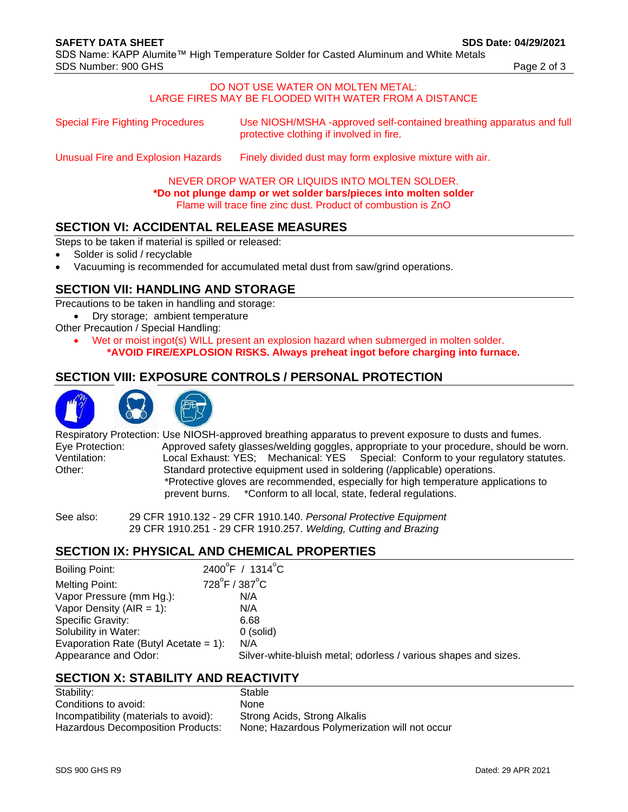#### DO NOT USE WATER ON MOLTEN METAL: LARGE FIRES MAY BE FLOODED WITH WATER FROM A DISTANCE

| <b>Special Fire Fighting Procedures</b><br>protective clothing if involved in fire. |  | Use NIOSH/MSHA-approved self-contained breathing apparatus and full |
|-------------------------------------------------------------------------------------|--|---------------------------------------------------------------------|
|-------------------------------------------------------------------------------------|--|---------------------------------------------------------------------|

Unusual Fire and Explosion Hazards Finely divided dust may form explosive mixture with air.

NEVER DROP WATER OR LIQUIDS INTO MOLTEN SOLDER. **\*Do not plunge damp or wet solder bars/pieces into molten solder** Flame will trace fine zinc dust. Product of combustion is ZnO

### **SECTION VI: ACCIDENTAL RELEASE MEASURES**

Steps to be taken if material is spilled or released:

- Solder is solid / recyclable
- Vacuuming is recommended for accumulated metal dust from saw/grind operations.

### **SECTION VII: HANDLING AND STORAGE**

Precautions to be taken in handling and storage:

- Dry storage; ambient temperature
- Other Precaution / Special Handling:
	- Wet or moist ingot(s) WILL present an explosion hazard when submerged in molten solder. **\*AVOID FIRE/EXPLOSION RISKS. Always preheat ingot before charging into furnace.**

# **SECTION VIII: EXPOSURE CONTROLS / PERSONAL PROTECTION**



Respiratory Protection: Use NIOSH-approved breathing apparatus to prevent exposure to dusts and fumes. Eye Protection: Approved safety glasses/welding goggles, appropriate to your procedure, should be worn. Ventilation: Local Exhaust: YES; Mechanical: YES Special: Conform to your regulatory statutes. Other: Standard protective equipment used in soldering (/applicable) operations. \*Protective gloves are recommended, especially for high temperature applications to prevent burns. \*Conform to all local, state, federal regulations.

See also: 29 CFR 1910.132 - 29 CFR 1910.140. *Personal Protective Equipment* 29 CFR 1910.251 - 29 CFR 1910.257. *Welding, Cutting and Brazing*

### **SECTION IX: PHYSICAL AND CHEMICAL PROPERTIES**

| <b>Boiling Point:</b>                 | $2400^{\circ}$ F / 1314 $^{\circ}$ C                            |  |
|---------------------------------------|-----------------------------------------------------------------|--|
| Melting Point:                        | $728^{\circ}$ F / 387 $^{\circ}$ C                              |  |
| Vapor Pressure (mm Hg.):              | N/A                                                             |  |
| Vapor Density (AIR = 1):              | N/A                                                             |  |
| Specific Gravity:                     | 6.68                                                            |  |
| Solubility in Water:                  | $0$ (solid)                                                     |  |
| Evaporation Rate (Butyl Acetate = 1): | N/A                                                             |  |
| Appearance and Odor:                  | Silver-white-bluish metal; odorless / various shapes and sizes. |  |
|                                       |                                                                 |  |

### **SECTION X: STABILITY AND REACTIVITY**

| Stable                                        |
|-----------------------------------------------|
| <b>None</b>                                   |
| Strong Acids, Strong Alkalis                  |
| None; Hazardous Polymerization will not occur |
|                                               |